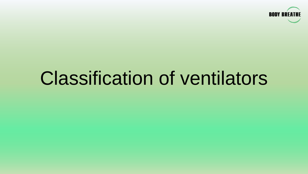

# Classification of ventilators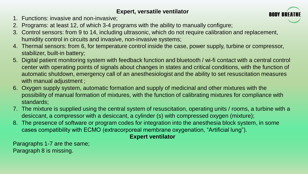# **Expert, versatile ventilator**

- 1. Functions: invasive and non-invasive;
- 2. Programs: at least 12, of which 3-4 programs with the ability to manually configure;
- 3. Control sensors: from 9 to 14, including ultrasonic, which do not require calibration and replacement, humidity control in circuits and invasive, non-invasive systems;
- 4. Thermal sensors: from 6, for temperature control inside the case, power supply, turbine or compressor, stabilizer, built-in battery;
- 5. Digital patient monitoring system with feedback function and bluetooth / wi-fi contact with a central control center with operating points of signals about changes in states and critical conditions, with the function of automatic shutdown, emergency call of an anesthesiologist and the ability to set resuscitation measures with manual adjustment;
- 6. Oxygen supply system, automatic formation and supply of medicinal and other mixtures with the possibility of manual formation of mixtures, with the function of calibrating mixtures for compliance with standards;
- 7. The mixture is supplied using the central system of resuscitation, operating units / rooms, a turbine with a desiccant, a compressor with a desiccant, a cylinder (s) with compressed oxygen (mixture);
- 8. The presence of software or program codes for integration into the anesthesia block system, in some cases compatibility with ECMO (extracorporeal membrane oxygenation, "Artificial lung").

# **Expert ventilator**

Paragraphs 1-7 are the same; Paragraph 8 is missing.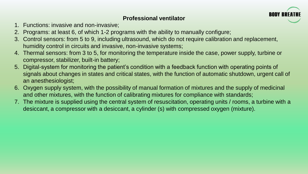## **Professional ventilator**



- 1. Functions: invasive and non-invasive;
- 2. Programs: at least 6, of which 1-2 programs with the ability to manually configure;
- 3. Control sensors: from 5 to 9, including ultrasound, which do not require calibration and replacement, humidity control in circuits and invasive, non-invasive systems;
- 4. Thermal sensors: from 3 to 5, for monitoring the temperature inside the case, power supply, turbine or compressor, stabilizer, built-in battery;
- 5. Digital-system for monitoring the patient's condition with a feedback function with operating points of signals about changes in states and critical states, with the function of automatic shutdown, urgent call of an anesthesiologist;
- 6. Oxygen supply system, with the possibility of manual formation of mixtures and the supply of medicinal and other mixtures, with the function of calibrating mixtures for compliance with standards;
- 7. The mixture is supplied using the central system of resuscitation, operating units / rooms, a turbine with a desiccant, a compressor with a desiccant, a cylinder (s) with compressed oxygen (mixture).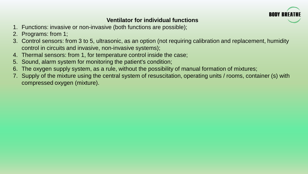

# **Ventilator for individual functions**

- 1. Functions: invasive or non-invasive (both functions are possible);
- 2. Programs: from 1;
- 3. Control sensors: from 3 to 5, ultrasonic, as an option (not requiring calibration and replacement, humidity control in circuits and invasive, non-invasive systems);
- 4. Thermal sensors: from 1, for temperature control inside the case;
- 5. Sound, alarm system for monitoring the patient's condition;
- 6. The oxygen supply system, as a rule, without the possibility of manual formation of mixtures;
- 7. Supply of the mixture using the central system of resuscitation, operating units / rooms, container (s) with compressed oxygen (mixture).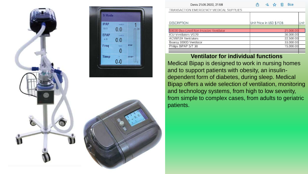



Philips BiPAP S/T 30

| Denis 21.05.2020, 21:58                 | rĥ                       | $\mathscr{D}_{\mathscr{D}_{\alpha}}$ | 53 | Ŵ | <b>Bce</b> |
|-----------------------------------------|--------------------------|--------------------------------------|----|---|------------|
| TRANSACTION EMERGENCY MEDICAL SUPPLIES  |                          |                                      |    |   |            |
| <b>DESCRIPTION</b>                      | Unit Price in USD \$ FOB |                                      |    |   |            |
| S9030 Duo-Level Non Invasive Ventilator |                          |                                      |    |   | 21,000.00  |
| <b>ICU Ventilators VG70</b>             |                          |                                      |    |   | 36,000.00  |
| <b>ACM812A Ventilators</b>              |                          |                                      |    |   | 22,500.00  |
| Boaray 3000D Ventilator                 |                          |                                      |    |   | 33,000.00  |

Unit

15,000.00

#### **Ventilator for individual functions**

Medical Bipap is designed to work in nursing homes and to support patients with obesity, an insulindependent form of diabetes, during sleep. Medical Bipap offers a wide selection of ventilation, monitoring and technology systems, from high to low severity, from simple to complex cases, from adults to geriatric patients.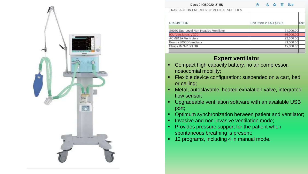

| Denis 21.05.2020, 21:58                 | 勔<br>rī<br><b>Bce</b><br>$\mathscr{L}_{a}$<br>5.7 |      |
|-----------------------------------------|---------------------------------------------------|------|
| TRANSACTION EMERGENCY MEDICAL SUPPLIES  |                                                   |      |
|                                         |                                                   |      |
| <b>DESCRIPTION</b>                      | Unit Price in USD \$ FOB                          | Unit |
|                                         |                                                   |      |
| S9030 Duo-Level Non Invasive Ventilator | 21,000.00                                         |      |
| <b>ICU Ventilators VG70</b>             | 36,000.00                                         |      |
| <b>ACM812A Ventilators</b>              | 22,500.00                                         |      |
| Boaray 3000D Ventilator                 | 33,000.00                                         |      |
| Philips BiPAP S/T 30                    | 15,000.00                                         |      |
|                                         |                                                   |      |

### **Expert ventilator**

- Compact high capacity battery, no air compressor, nosocomial mobility;
- Flexible device configuration: suspended on a cart, bed or ceiling;
- Metal, autoclavable, heated exhalation valve, integrated flow sensor;
- Upgradeable ventilation software with an available USB port;
- Optimum synchronization between patient and ventilator;
- Invasive and non-invasive ventilation mode;
- **Provides pressure support for the patient when** spontaneous breathing is present;
- 12 programs, including 4 in manual mode.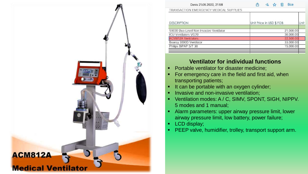

| Denis 21.05.2020, 21:58                 | <b>Bce</b><br>$\mathscr{U}_a$<br>$5\frac{1}{2}$<br>勔 |  |  |
|-----------------------------------------|------------------------------------------------------|--|--|
| TRANSACTION EMERGENCY MEDICAL SUPPLIES  |                                                      |  |  |
| <b>DESCRIPTION</b>                      | Unit Price in USD \$ FOB                             |  |  |
|                                         |                                                      |  |  |
| S9030 Duo-Level Non Invasive Ventilator | 21,000.00                                            |  |  |
| <b>ICU Ventilators VG70</b>             | 36,000.00                                            |  |  |
| <b>ACM812A Ventilators</b>              | 22,500.00                                            |  |  |
| Boaray 3000D Ventilator                 | 33,000.00                                            |  |  |
| Philips BiPAP S/T 30                    | 15,000.00                                            |  |  |
|                                         |                                                      |  |  |

## **Ventilator for individual functions**

- Portable ventilator for disaster medicine;
- For emergency care in the field and first aid, when transporting patients;
- It can be portable with an oxygen cylinder;
- Invasive and non-invasive ventilation;
- Ventilation modes: A / C, SIMV, SPONT, SIGH, NIPPV. 5 modes and 1 manual;
- Alarm parameters: upper airway pressure limit, lower airway pressure limit, low battery, power failure;
- LCD display;
- PEEP valve, humidifier, trolley, transport support arm.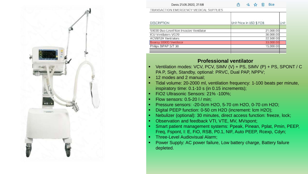

| Denis 21.05.2020, 21:58                 | பி<br>勔<br><b>Bce</b><br>$\mathcal{L}_{\alpha}$<br>53 |    |
|-----------------------------------------|-------------------------------------------------------|----|
| TRANSACTION EMERGENCY MEDICAL SUPPLIES  |                                                       |    |
| <b>DESCRIPTION</b>                      | Unit Price in USD \$ FOB                              | Un |
|                                         |                                                       |    |
| S9030 Duo-Level Non Invasive Ventilator | 21,000.00                                             |    |
| <b>ICU Ventilators VG70</b>             | 36,000.00                                             |    |
| <b>ACM812A Ventilators</b>              | 22,500.00                                             |    |
| Boaray 3000D Ventilator                 | 33,000.00                                             |    |
| Philips BiPAP S/T 30                    | 15,000.00                                             |    |
|                                         |                                                       |    |
|                                         |                                                       |    |

#### **Professional ventilator**

- Ventilation modes: VCV, PCV, SIMV (V) + PS, SIMV (P) + PS, SPONT / C PA P, Sigh, Standby, optional: PRVC, Dual PAP, NPPV;
- 12 modes and 2 manual;
- Tidal volume: 20-2000 ml, ventilation frequency: 1-100 beats per minute, inspiratory time: 0.1-10 s (in 0.15 increments);
- FiO2 Ultrasonic Sensors: 21% -100%;
- Flow sensors: 0.5-20 l / min;
- Pressure sensors: -20-0cm H2O, 5-70 cm H2O, 0-70 cm H2O;
- Digital PEEP function: 0-50 cm H2O (increment: lcm H2O);
- Nebulizer (optional): 30 minutes, direct access function: freeze, lock;
- Observation and feedback VTI, VTE, MV, MVspont;
- Smart patient management systems: Ppeak, Pinean, Pplat, Pmin, PEEP, Freq, Fspont, I: E, FiO, RSB, P0.1, NIF, Auto PEEP, Rcexp, Cdyn;
- Three-Level Audiovisual Alarm;
- Power Supply: AC power failure, Low battery charge, Battery failure depleted.